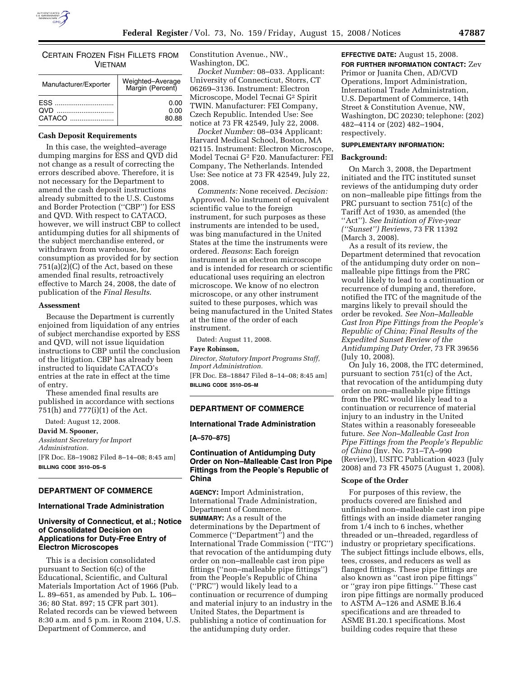

CERTAIN FROZEN FISH FILLETS FROM VIETNAM

| Manufacturer/Exporter | Weighted-Average<br>Margin (Percent) |
|-----------------------|--------------------------------------|
| <b>OVD</b><br>CATACO  | 0.00<br>0.00<br>80.88                |

# **Cash Deposit Requirements**

In this case, the weighted–average dumping margins for ESS and QVD did not change as a result of correcting the errors described above. Therefore, it is not necessary for the Department to amend the cash deposit instructions already submitted to the U.S. Customs and Border Protection (''CBP'') for ESS and QVD. With respect to CATACO, however, we will instruct CBP to collect antidumping duties for all shipments of the subject merchandise entered, or withdrawn from warehouse, for consumption as provided for by section  $751(a)(2)(C)$  of the Act, based on these amended final results, retroactively effective to March 24, 2008, the date of publication of the *Final Results*.

#### **Assessment**

Because the Department is currently enjoined from liquidation of any entries of subject merchandise exported by ESS and QVD, will not issue liquidation instructions to CBP until the conclusion of the litigation. CBP has already been instructed to liquidate CATACO's entries at the rate in effect at the time of entry.

These amended final results are published in accordance with sections 751(h) and 777(i)(1) of the Act.

Dated: August 12, 2008.

**David M. Spooner,**  *Assistant Secretary for Import Administration.*  [FR Doc. E8–19082 Filed 8–14–08; 8:45 am] **BILLING CODE 3510–DS–S** 

## **DEPARTMENT OF COMMERCE**

#### **International Trade Administration**

# **University of Connecticut, et al.; Notice of Consolidated Decision on Applications for Duty-Free Entry of Electron Microscopes**

This is a decision consolidated pursuant to Section 6(c) of the Educational, Scientific, and Cultural Materials Importation Act of 1966 (Pub. L. 89–651, as amended by Pub. L. 106– 36; 80 Stat. 897; 15 CFR part 301). Related records can be viewed between 8:30 a.m. and 5 p.m. in Room 2104, U.S. Department of Commerce, and

Constitution Avenue., NW., Washington, DC.

*Docket Number:* 08–033. Applicant: University of Connecticut, Storrs, CT 06269–3136. Instrument: Electron Microscope, Model Tecnai G2 Spirit TWIN. Manufacturer: FEI Company, Czech Republic. Intended Use: See notice at 73 FR 42549, July 22, 2008.

*Docket Number:* 08–034 Applicant: Harvard Medical School, Boston, MA 02115. Instrument: Electron Microscope, Model Tecnai G2 F20. Manufacturer: FEI Company, The Netherlands. Intended Use: See notice at 73 FR 42549, July 22, 2008.

*Comments:* None received. *Decision:*  Approved. No instrument of equivalent scientific value to the foreign instrument, for such purposes as these instruments are intended to be used, was bing manufactured in the United States at the time the instruments were ordered. *Reasons*: Each foreign instrument is an electron microscope and is intended for research or scientific educational uses requiring an electron microscope. We know of no electron microscope, or any other instrument suited to these purposes, which was being manufactured in the United States at the time of the order of each instrument.

Dated: August 11, 2008.

#### **Faye Robinson,**

*Director, Statutory Import Programs Staff, Import Administration.*  [FR Doc. E8–18847 Filed 8–14–08; 8:45 am] **BILLING CODE 3510–DS–M** 

# **DEPARTMENT OF COMMERCE**

## **International Trade Administration**

**[A–570–875]** 

## **Continuation of Antidumping Duty Order on Non–Malleable Cast Iron Pipe Fittings from the People's Republic of China**

**AGENCY:** Import Administration, International Trade Administration, Department of Commerce. **SUMMARY:** As a result of the determinations by the Department of Commerce (''Department'') and the International Trade Commission (''ITC'') that revocation of the antidumping duty order on non–malleable cast iron pipe fittings (''non–malleable pipe fittings'') from the People's Republic of China (''PRC'') would likely lead to a continuation or recurrence of dumping and material injury to an industry in the United States, the Department is publishing a notice of continuation for the antidumping duty order.

**EFFECTIVE DATE:** August 15, 2008.

**FOR FURTHER INFORMATION CONTACT:** Zev Primor or Juanita Chen, AD/CVD Operations, Import Administration, International Trade Administration, U.S. Department of Commerce, 14th Street & Constitution Avenue, NW, Washington, DC 20230; telephone: (202) 482–4114 or (202) 482–1904, respectively.

## **SUPPLEMENTARY INFORMATION:**

#### **Background:**

On March 3, 2008, the Department initiated and the ITC instituted sunset reviews of the antidumping duty order on non–malleable pipe fittings from the PRC pursuant to section 751(c) of the Tariff Act of 1930, as amended (the ''Act''). *See Initiation of Five-year (''Sunset'') Reviews*, 73 FR 11392 (March 3, 2008).

As a result of its review, the Department determined that revocation of the antidumping duty order on non– malleable pipe fittings from the PRC would likely to lead to a continuation or recurrence of dumping and, therefore, notified the ITC of the magnitude of the margins likely to prevail should the order be revoked. *See Non–Malleable Cast Iron Pipe Fittings from the People's Republic of China; Final Results of the Expedited Sunset Review of the Antidumping Duty Order*, 73 FR 39656 (July 10, 2008).

On July 16, 2008, the ITC determined, pursuant to section 751(c) of the Act, that revocation of the antidumping duty order on non–malleable pipe fittings from the PRC would likely lead to a continuation or recurrence of material injury to an industry in the United States within a reasonably foreseeable future. *See Non–Malleable Cast Iron Pipe Fittings from the People's Republic of China* (Inv. No. 731–TA–990 (Review)), USITC Publication 4023 (July 2008) and 73 FR 45075 (August 1, 2008).

### **Scope of the Order**

For purposes of this review, the products covered are finished and unfinished non–malleable cast iron pipe fittings with an inside diameter ranging from 1/4 inch to 6 inches, whether threaded or un–threaded, regardless of industry or proprietary specifications. The subject fittings include elbows, ells, tees, crosses, and reducers as well as flanged fittings. These pipe fittings are also known as ''cast iron pipe fittings'' or ''gray iron pipe fittings.'' These cast iron pipe fittings are normally produced to ASTM A–126 and ASME B.l6.4 specifications and are threaded to ASME B1.20.1 specifications. Most building codes require that these